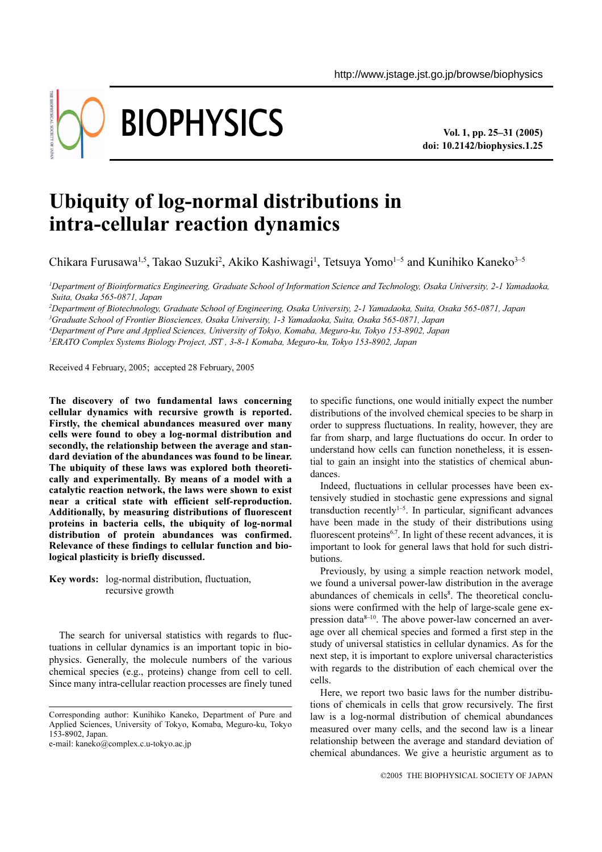

# Ubiquity of log-normal distributions in intra-cellular reaction dynamics

Chikara Furusawa<sup>1,5</sup>, Takao Suzuki<sup>2</sup>, Akiko Kashiwagi<sup>1</sup>, Tetsuya Yomo<sup>1-5</sup> and Kunihiko Kaneko<sup>3-5</sup>

<sup>1</sup>Department of Bioinformatics Engineering, Graduate School of Information Science and Technology, Osaka University, 2-1 Yamadaoka, Suita, Osaka 565-0871, Japan

2 Department of Biotechnology, Graduate School of Engineering, Osaka University, 2-1 Yamadaoka, Suita, Osaka 565-0871, Japan

3 Graduate School of Frontier Biosciences, Osaka University, 1-3 Yamadaoka, Suita, Osaka 565-0871, Japan

4 Department of Pure and Applied Sciences, University of Tokyo, Komaba, Meguro-ku, Tokyo 153-8902, Japan

5 ERATO Complex Systems Biology Project, JST , 3-8-1 Komaba, Meguro-ku, Tokyo 153-8902, Japan

Received 4 February, 2005; accepted 28 February, 2005

The discovery of two fundamental laws concerning cellular dynamics with recursive growth is reported. Firstly, the chemical abundances measured over many cells were found to obey a log-normal distribution and secondly, the relationship between the average and standard deviation of the abundances was found to be linear. The ubiquity of these laws was explored both theoretically and experimentally. By means of a model with a catalytic reaction network, the laws were shown to exist near a critical state with efficient self-reproduction. Additionally, by measuring distributions of fluorescent proteins in bacteria cells, the ubiquity of log-normal distribution of protein abundances was confirmed. Relevance of these findings to cellular function and biological plasticity is briefly discussed.

Key words: log-normal distribution, fluctuation, recursive growth

The search for universal statistics with regards to fluctuations in cellular dynamics is an important topic in biophysics. Generally, the molecule numbers of the various chemical species (e.g., proteins) change from cell to cell. Since many intra-cellular reaction processes are finely tuned to specific functions, one would initially expect the number distributions of the involved chemical species to be sharp in order to suppress fluctuations. In reality, however, they are far from sharp, and large fluctuations do occur. In order to understand how cells can function nonetheless, it is essential to gain an insight into the statistics of chemical abundances.

Indeed, fluctuations in cellular processes have been extensively studied in stochastic gene expressions and signal transduction recently $1-5$ . In particular, significant advances have been made in the study of their distributions using fluorescent proteins<sup>6,7</sup>. In light of these recent advances, it is important to look for general laws that hold for such distributions.

Previously, by using a simple reaction network model, we found a universal power-law distribution in the average abundances of chemicals in cells<sup>8</sup>. The theoretical conclusions were confirmed with the help of large-scale gene expression data<sup>8-10</sup>. The above power-law concerned an average over all chemical species and formed a first step in the study of universal statistics in cellular dynamics. As for the next step, it is important to explore universal characteristics with regards to the distribution of each chemical over the cells.

Here, we report two basic laws for the number distributions of chemicals in cells that grow recursively. The first law is a log-normal distribution of chemical abundances measured over many cells, and the second law is a linear relationship between the average and standard deviation of chemical abundances. We give a heuristic argument as to

Corresponding author: Kunihiko Kaneko, Department of Pure and Applied Sciences, University of Tokyo, Komaba, Meguro-ku, Tokyo 153-8902, Japan.

e-mail: kaneko@complex.c.u-tokyo.ac.jp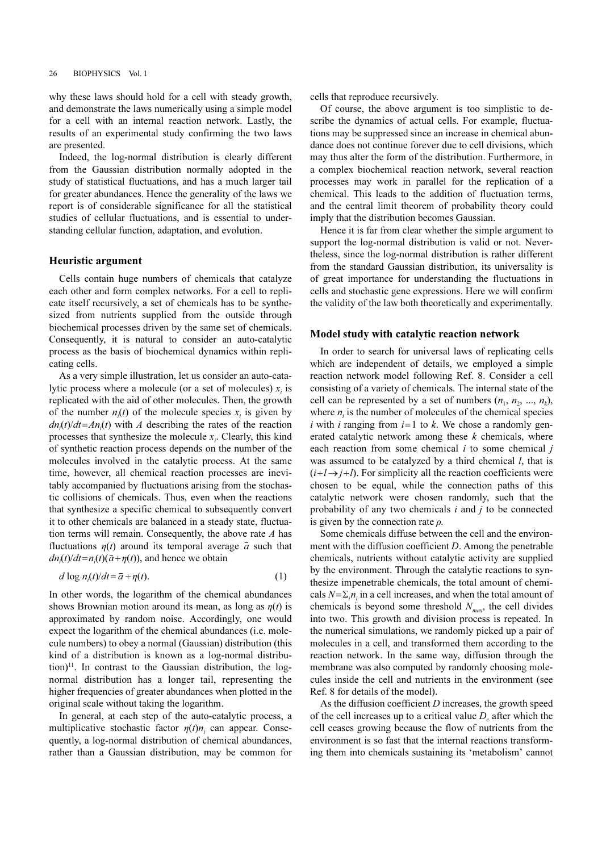why these laws should hold for a cell with steady growth, and demonstrate the laws numerically using a simple model for a cell with an internal reaction network. Lastly, the results of an experimental study confirming the two laws are presented.

Indeed, the log-normal distribution is clearly different from the Gaussian distribution normally adopted in the study of statistical fluctuations, and has a much larger tail for greater abundances. Hence the generality of the laws we report is of considerable significance for all the statistical studies of cellular fluctuations, and is essential to understanding cellular function, adaptation, and evolution.

## Heuristic argument

Cells contain huge numbers of chemicals that catalyze each other and form complex networks. For a cell to replicate itself recursively, a set of chemicals has to be synthesized from nutrients supplied from the outside through biochemical processes driven by the same set of chemicals. Consequently, it is natural to consider an auto-catalytic process as the basis of biochemical dynamics within replicating cells.

As a very simple illustration, let us consider an auto-catalytic process where a molecule (or a set of molecules)  $x_i$  is replicated with the aid of other molecules. Then, the growth of the number  $n_i(t)$  of the molecule species  $x_i$  is given by  $dn<sub>i</sub>(t)/dt = An<sub>i</sub>(t)$  with A describing the rates of the reaction processes that synthesize the molecule  $x_i$ . Clearly, this kind of synthetic reaction process depends on the number of the molecules involved in the catalytic process. At the same time, however, all chemical reaction processes are inevitably accompanied by fluctuations arising from the stochastic collisions of chemicals. Thus, even when the reactions that synthesize a specific chemical to subsequently convert it to other chemicals are balanced in a steady state, fluctuation terms will remain. Consequently, the above rate A has fluctuations  $\eta(t)$  around its temporal average  $\bar{a}$  such that  $dn_i(t)/dt = n_i(t)(\bar{a} + \eta(t))$ , and hence we obtain

$$
d \log n_i(t)/dt = \overline{a} + \eta(t). \tag{1}
$$

In other words, the logarithm of the chemical abundances shows Brownian motion around its mean, as long as  $\eta(t)$  is approximated by random noise. Accordingly, one would expect the logarithm of the chemical abundances (i.e. molecule numbers) to obey a normal (Gaussian) distribution (this kind of a distribution is known as a log-normal distribu $t$ ion)<sup>11</sup>. In contrast to the Gaussian distribution, the lognormal distribution has a longer tail, representing the higher frequencies of greater abundances when plotted in the original scale without taking the logarithm.

In general, at each step of the auto-catalytic process, a multiplicative stochastic factor  $\eta(t)n_i$  can appear. Consequently, a log-normal distribution of chemical abundances, rather than a Gaussian distribution, may be common for

cells that reproduce recursively.

Of course, the above argument is too simplistic to describe the dynamics of actual cells. For example, fluctuations may be suppressed since an increase in chemical abundance does not continue forever due to cell divisions, which may thus alter the form of the distribution. Furthermore, in a complex biochemical reaction network, several reaction processes may work in parallel for the replication of a chemical. This leads to the addition of fluctuation terms, and the central limit theorem of probability theory could imply that the distribution becomes Gaussian.

Hence it is far from clear whether the simple argument to support the log-normal distribution is valid or not. Nevertheless, since the log-normal distribution is rather different from the standard Gaussian distribution, its universality is of great importance for understanding the fluctuations in cells and stochastic gene expressions. Here we will confirm the validity of the law both theoretically and experimentally.

#### Model study with catalytic reaction network

In order to search for universal laws of replicating cells which are independent of details, we employed a simple reaction network model following Ref. 8. Consider a cell consisting of a variety of chemicals. The internal state of the cell can be represented by a set of numbers  $(n_1, n_2, ..., n_k)$ , where  $n_i$  is the number of molecules of the chemical species i with i ranging from  $i=1$  to k. We chose a randomly generated catalytic network among these  $k$  chemicals, where each reaction from some chemical  $i$  to some chemical  $j$ was assumed to be catalyzed by a third chemical  $l$ , that is  $(i+l \rightarrow j+l)$ . For simplicity all the reaction coefficients were chosen to be equal, while the connection paths of this catalytic network were chosen randomly, such that the probability of any two chemicals  $i$  and  $j$  to be connected is given by the connection rate  $\rho$ .

Some chemicals diffuse between the cell and the environment with the diffusion coefficient  $D$ . Among the penetrable chemicals, nutrients without catalytic activity are supplied by the environment. Through the catalytic reactions to synthesize impenetrable chemicals, the total amount of chemicals  $N = \sum_i n_i$  in a cell increases, and when the total amount of chemicals is beyond some threshold  $N_{\text{max}}$ , the cell divides into two. This growth and division process is repeated. In the numerical simulations, we randomly picked up a pair of molecules in a cell, and transformed them according to the reaction network. In the same way, diffusion through the membrane was also computed by randomly choosing molecules inside the cell and nutrients in the environment (see Ref. 8 for details of the model).

As the diffusion coefficient  $D$  increases, the growth speed of the cell increases up to a critical value  $D<sub>c</sub>$  after which the cell ceases growing because the flow of nutrients from the environment is so fast that the internal reactions transforming them into chemicals sustaining its 'metabolism' cannot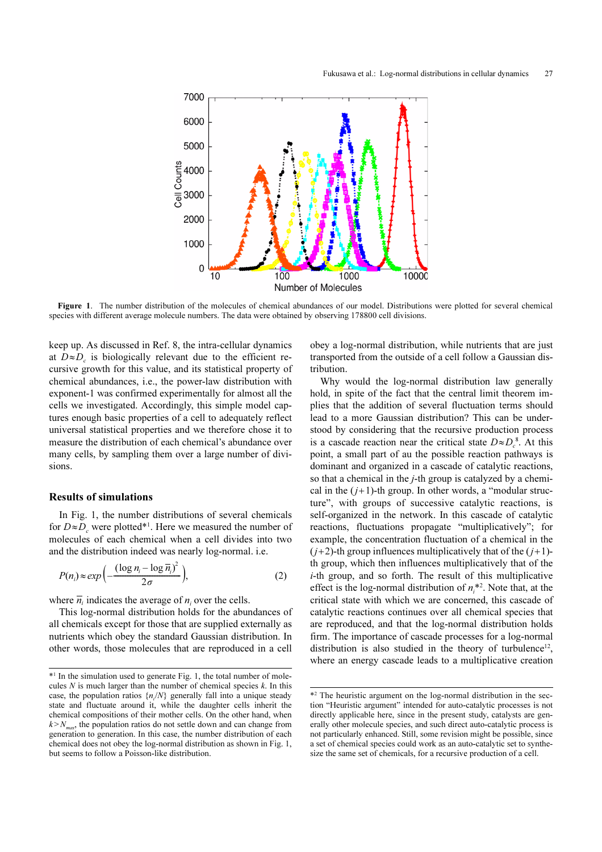

Figure 1. The number distribution of the molecules of chemical abundances of our model. Distributions were plotted for several chemical species with different average molecule numbers. The data were obtained by observing 178800 cell divisions.

keep up. As discussed in Ref. 8, the intra-cellular dynamics at  $D \approx D_c$  is biologically relevant due to the efficient recursive growth for this value, and its statistical property of chemical abundances, i.e., the power-law distribution with exponent-1 was confirmed experimentally for almost all the cells we investigated. Accordingly, this simple model captures enough basic properties of a cell to adequately reflect universal statistical properties and we therefore chose it to measure the distribution of each chemical's abundance over many cells, by sampling them over a large number of divisions.

### Results of simulations

In Fig. 1, the number distributions of several chemicals for  $D \approx D_c$  were plotted<sup>\*1</sup>. Here we measured the number of molecules of each chemical when a cell divides into two and the distribution indeed was nearly log-normal. i.e.

$$
P(n_i) \approx exp\left(-\frac{(\log n_i - \log \overline{n}_i)^2}{2\sigma}\right),\tag{2}
$$

where  $\overline{n_i}$  indicates the average of  $n_i$  over the cells.

This log-normal distribution holds for the abundances of all chemicals except for those that are supplied externally as nutrients which obey the standard Gaussian distribution. In other words, those molecules that are reproduced in a cell

obey a log-normal distribution, while nutrients that are just transported from the outside of a cell follow a Gaussian distribution.

Why would the log-normal distribution law generally hold, in spite of the fact that the central limit theorem implies that the addition of several fluctuation terms should lead to a more Gaussian distribution? This can be understood by considering that the recursive production process is a cascade reaction near the critical state  $D \approx D_c^8$ . At this point, a small part of au the possible reaction pathways is dominant and organized in a cascade of catalytic reactions, so that a chemical in the *j*-th group is catalyzed by a chemical in the  $(j+1)$ -th group. In other words, a "modular structure", with groups of successive catalytic reactions, is self-organized in the network. In this cascade of catalytic reactions, fluctuations propagate "multiplicatively"; for example, the concentration fluctuation of a chemical in the  $(j+2)$ -th group influences multiplicatively that of the  $(j+1)$ th group, which then influences multiplicatively that of the i-th group, and so forth. The result of this multiplicative effect is the log-normal distribution of  $n_i^{*2}$ . Note that, at the critical state with which we are concerned, this cascade of catalytic reactions continues over all chemical species that are reproduced, and that the log-normal distribution holds firm. The importance of cascade processes for a log-normal distribution is also studied in the theory of turbulence<sup>12</sup>, where an energy cascade leads to a multiplicative creation

<sup>\*</sup>1 In the simulation used to generate Fig. 1, the total number of molecules  $N$  is much larger than the number of chemical species  $k$ . In this case, the population ratios  $\{n_i/N\}$  generally fall into a unique steady state and fluctuate around it, while the daughter cells inherit the chemical compositions of their mother cells. On the other hand, when  $k > N_{max}$ , the population ratios do not settle down and can change from generation to generation. In this case, the number distribution of each chemical does not obey the log-normal distribution as shown in Fig. 1, but seems to follow a Poisson-like distribution.

<sup>\*</sup>2 The heuristic argument on the log-normal distribution in the section "Heuristic argument" intended for auto-catalytic processes is not directly applicable here, since in the present study, catalysts are generally other molecule species, and such direct auto-catalytic process is not particularly enhanced. Still, some revision might be possible, since a set of chemical species could work as an auto-catalytic set to synthesize the same set of chemicals, for a recursive production of a cell.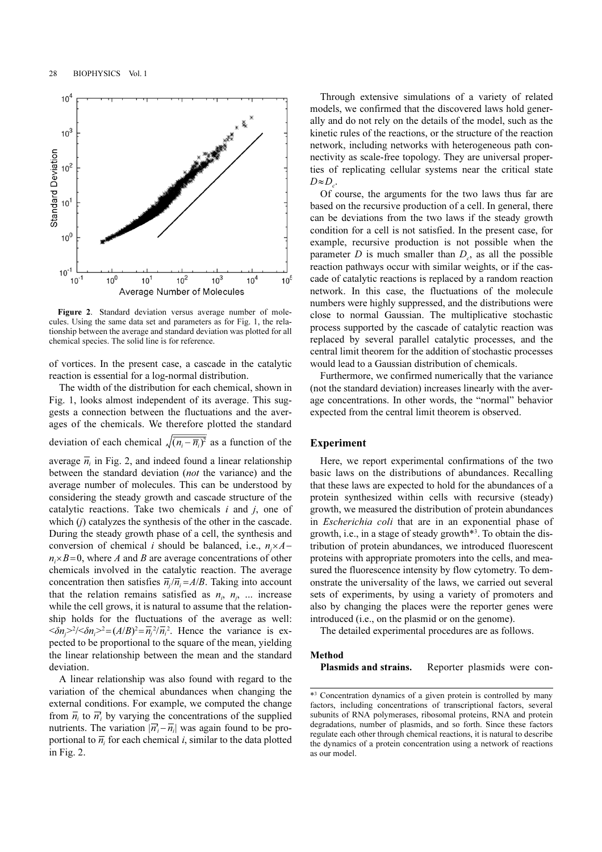

Figure 2. Standard deviation versus average number of molecules. Using the same data set and parameters as for Fig. 1, the relationship between the average and standard deviation was plotted for all chemical species. The solid line is for reference.

of vortices. In the present case, a cascade in the catalytic reaction is essential for a log-normal distribution.

The width of the distribution for each chemical, shown in Fig. 1, looks almost independent of its average. This suggests a connection between the fluctuations and the averages of the chemicals. We therefore plotted the standard deviation of each chemical  $\sqrt{(n_i - \overline{n}_i)^2}$  as a function of the average  $\overline{n_i}$  in Fig. 2, and indeed found a linear relationship between the standard deviation (not the variance) and the average number of molecules. This can be understood by considering the steady growth and cascade structure of the catalytic reactions. Take two chemicals  $i$  and  $j$ , one of which  $(j)$  catalyzes the synthesis of the other in the cascade. During the steady growth phase of a cell, the synthesis and conversion of chemical *i* should be balanced, i.e.,  $n_j \times A$  $n_i \times B = 0$ , where A and B are average concentrations of other chemicals involved in the catalytic reaction. The average concentration then satisfies  $\overline{n_j}/\overline{n_i} = A/B$ . Taking into account that the relation remains satisfied as  $n_i$ ,  $n_j$ , ... increase while the cell grows, it is natural to assume that the relationship holds for the fluctuations of the average as well:  $\langle \delta n_j \rangle^2 / \langle \delta n_i \rangle^2 = (A/B)^2 = \overline{n_j}^2 / \overline{n_i}^2$ . Hence the variance is expected to be proportional to the square of the mean, yielding the linear relationship between the mean and the standard deviation.

A linear relationship was also found with regard to the variation of the chemical abundances when changing the external conditions. For example, we computed the change from  $\overline{n_i}$  to  $\overline{n'_i}$  by varying the concentrations of the supplied nutrients. The variation  $|\overline{n}_i - \overline{n}_i|$  was again found to be proportional to  $\overline{n_i}$  for each chemical *i*, similar to the data plotted in Fig. 2.

Through extensive simulations of a variety of related models, we confirmed that the discovered laws hold generally and do not rely on the details of the model, such as the kinetic rules of the reactions, or the structure of the reaction network, including networks with heterogeneous path connectivity as scale-free topology. They are universal properties of replicating cellular systems near the critical state  $D \approx D_c$ .

Of course, the arguments for the two laws thus far are based on the recursive production of a cell. In general, there can be deviations from the two laws if the steady growth condition for a cell is not satisfied. In the present case, for example, recursive production is not possible when the parameter D is much smaller than  $D_c$ , as all the possible reaction pathways occur with similar weights, or if the cascade of catalytic reactions is replaced by a random reaction network. In this case, the fluctuations of the molecule numbers were highly suppressed, and the distributions were close to normal Gaussian. The multiplicative stochastic process supported by the cascade of catalytic reaction was replaced by several parallel catalytic processes, and the central limit theorem for the addition of stochastic processes would lead to a Gaussian distribution of chemicals.

Furthermore, we confirmed numerically that the variance (not the standard deviation) increases linearly with the average concentrations. In other words, the "normal" behavior expected from the central limit theorem is observed.

## Experiment

Here, we report experimental confirmations of the two basic laws on the distributions of abundances. Recalling that these laws are expected to hold for the abundances of a protein synthesized within cells with recursive (steady) growth, we measured the distribution of protein abundances in Escherichia coli that are in an exponential phase of growth, i.e., in a stage of steady growth\*<sup>3</sup> . To obtain the distribution of protein abundances, we introduced fluorescent proteins with appropriate promoters into the cells, and measured the fluorescence intensity by flow cytometry. To demonstrate the universality of the laws, we carried out several sets of experiments, by using a variety of promoters and also by changing the places were the reporter genes were introduced (i.e., on the plasmid or on the genome).

The detailed experimental procedures are as follows.

# Method

Plasmids and strains. Reporter plasmids were con-

<sup>\*</sup>3 Concentration dynamics of a given protein is controlled by many factors, including concentrations of transcriptional factors, several subunits of RNA polymerases, ribosomal proteins, RNA and protein degradations, number of plasmids, and so forth. Since these factors regulate each other through chemical reactions, it is natural to describe the dynamics of a protein concentration using a network of reactions as our model.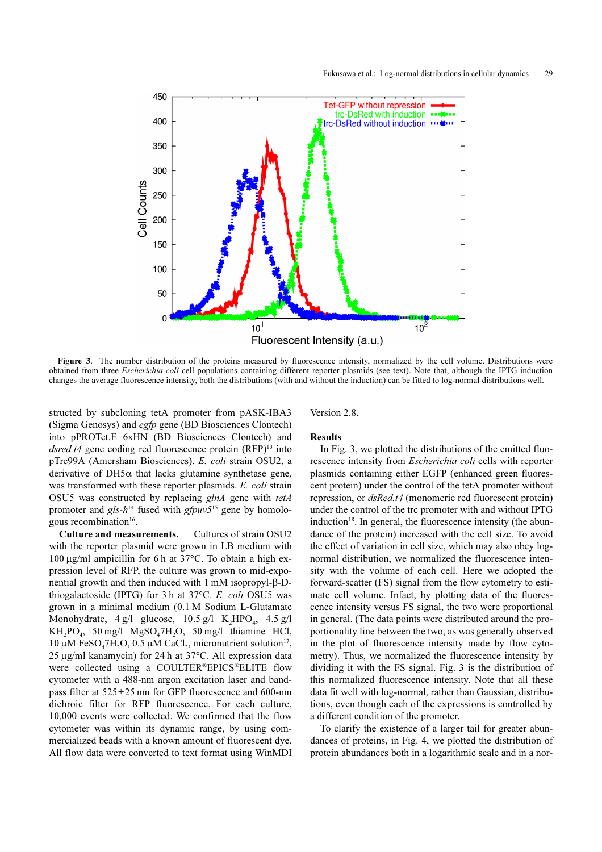

Figure 3. The number distribution of the proteins measured by fluorescence intensity, normalized by the cell volume. Distributions were obtained from three Escherichia coli cell populations containing different reporter plasmids (see text). Note that, although the IPTG induction changes the average fluorescence intensity, both the distributions (with and without the induction) can be fitted to log-normal distributions well.

structed by subcloning tetA promoter from pASK-IBA3 (Sigma Genosys) and egfp gene (BD Biosciences Clontech) into pPROTet.E 6xHN (BD Biosciences Clontech) and  $\beta$  dsred.t4 gene coding red fluorescence protein  $(RFP)^{13}$  into pTrc99A (Amersham Biosciences). E. coli strain OSU2, a derivative of DH5α that lacks glutamine synthetase gene, was transformed with these reporter plasmids. E. coli strain OSU5 was constructed by replacing glnA gene with tetA promoter and gls- $h^{14}$  fused with gfpuv $5^{15}$  gene by homologous recombination $16$ .

Culture and measurements. Cultures of strain OSU2 with the reporter plasmid were grown in LB medium with 100 µg/ml ampicillin for 6 h at 37°C. To obtain a high expression level of RFP, the culture was grown to mid-exponential growth and then induced with 1 mM isopropyl-β-Dthiogalactoside (IPTG) for 3 h at 37°C. E. coli OSU5 was grown in a minimal medium (0.1 M Sodium L-Glutamate Monohydrate,  $4 \text{ g/l}$  glucose,  $10.5 \text{ g/l}$  K<sub>2</sub>HPO<sub>4</sub>,  $4.5 \text{ g/l}$  $KH_2PO_4$ , 50 mg/l MgSO<sub>4</sub>7H<sub>2</sub>O, 50 mg/l thiamine HCl,  $10 \mu$ M FeSO<sub>4</sub>7H<sub>2</sub>O, 0.5  $\mu$ M CaCl<sub>2</sub>, micronutrient solution<sup>17</sup>, 25 µg/ml kanamycin) for 24 h at 37°C. All expression data were collected using a COULTER®EPICS®ELITE flow cytometer with a 488-nm argon excitation laser and bandpass filter at 525±25 nm for GFP fluorescence and 600-nm dichroic filter for RFP fluorescence. For each culture, 10,000 events were collected. We confirmed that the flow cytometer was within its dynamic range, by using commercialized beads with a known amount of fluorescent dye. All flow data were converted to text format using WinMDI Version 2.8.

### Results

In Fig. 3, we plotted the distributions of the emitted fluorescence intensity from Escherichia coli cells with reporter plasmids containing either EGFP (enhanced green fluorescent protein) under the control of the tetA promoter without repression, or dsRed.t4 (monomeric red fluorescent protein) under the control of the trc promoter with and without IPTG induction<sup>18</sup>. In general, the fluorescence intensity (the abundance of the protein) increased with the cell size. To avoid the effect of variation in cell size, which may also obey lognormal distribution, we normalized the fluorescence intensity with the volume of each cell. Here we adopted the forward-scatter (FS) signal from the flow cytometry to estimate cell volume. Infact, by plotting data of the fluorescence intensity versus FS signal, the two were proportional in general. (The data points were distributed around the proportionality line between the two, as was generally observed in the plot of fluorescence intensity made by flow cytometry). Thus, we normalized the fluorescence intensity by dividing it with the FS signal. Fig. 3 is the distribution of this normalized fluorescence intensity. Note that all these data fit well with log-normal, rather than Gaussian, distributions, even though each of the expressions is controlled by a different condition of the promoter.

To clarify the existence of a larger tail for greater abundances of proteins, in Fig. 4, we plotted the distribution of protein abundances both in a logarithmic scale and in a nor-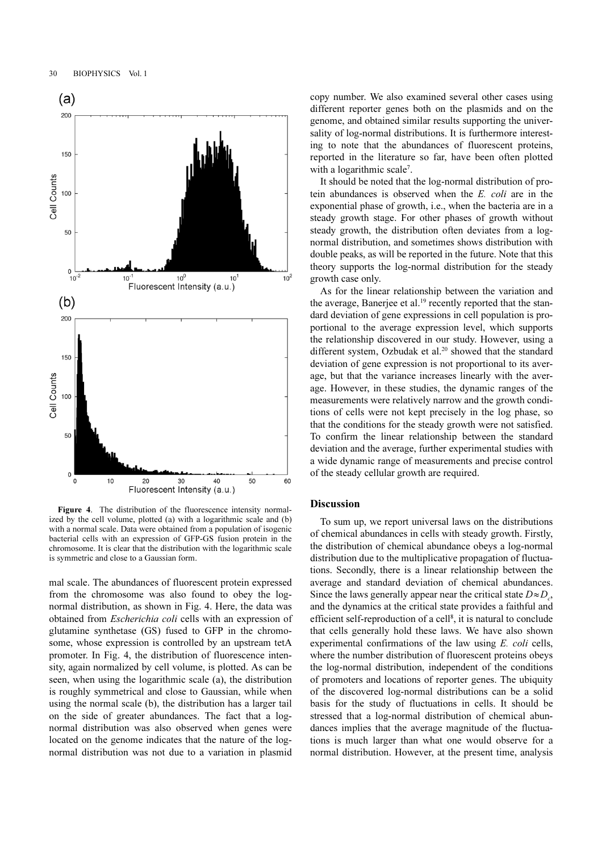

Figure 4. The distribution of the fluorescence intensity normalized by the cell volume, plotted (a) with a logarithmic scale and (b) with a normal scale. Data were obtained from a population of isogenic bacterial cells with an expression of GFP-GS fusion protein in the chromosome. It is clear that the distribution with the logarithmic scale is symmetric and close to a Gaussian form.

mal scale. The abundances of fluorescent protein expressed from the chromosome was also found to obey the lognormal distribution, as shown in Fig. 4. Here, the data was obtained from Escherichia coli cells with an expression of glutamine synthetase (GS) fused to GFP in the chromosome, whose expression is controlled by an upstream tetA promoter. In Fig. 4, the distribution of fluorescence intensity, again normalized by cell volume, is plotted. As can be seen, when using the logarithmic scale (a), the distribution is roughly symmetrical and close to Gaussian, while when using the normal scale (b), the distribution has a larger tail on the side of greater abundances. The fact that a lognormal distribution was also observed when genes were located on the genome indicates that the nature of the lognormal distribution was not due to a variation in plasmid

copy number. We also examined several other cases using different reporter genes both on the plasmids and on the genome, and obtained similar results supporting the universality of log-normal distributions. It is furthermore interesting to note that the abundances of fluorescent proteins, reported in the literature so far, have been often plotted with a logarithmic scale<sup>7</sup>.

It should be noted that the log-normal distribution of protein abundances is observed when the E. coli are in the exponential phase of growth, i.e., when the bacteria are in a steady growth stage. For other phases of growth without steady growth, the distribution often deviates from a lognormal distribution, and sometimes shows distribution with double peaks, as will be reported in the future. Note that this theory supports the log-normal distribution for the steady growth case only.

As for the linear relationship between the variation and the average, Banerjee et al.<sup>19</sup> recently reported that the standard deviation of gene expressions in cell population is proportional to the average expression level, which supports the relationship discovered in our study. However, using a different system, Ozbudak et al.<sup>20</sup> showed that the standard deviation of gene expression is not proportional to its average, but that the variance increases linearly with the average. However, in these studies, the dynamic ranges of the measurements were relatively narrow and the growth conditions of cells were not kept precisely in the log phase, so that the conditions for the steady growth were not satisfied. To confirm the linear relationship between the standard deviation and the average, further experimental studies with a wide dynamic range of measurements and precise control of the steady cellular growth are required.

## Discussion

To sum up, we report universal laws on the distributions of chemical abundances in cells with steady growth. Firstly, the distribution of chemical abundance obeys a log-normal distribution due to the multiplicative propagation of fluctuations. Secondly, there is a linear relationship between the average and standard deviation of chemical abundances. Since the laws generally appear near the critical state  $D \approx D_c$ , and the dynamics at the critical state provides a faithful and efficient self-reproduction of a cell<sup>8</sup>, it is natural to conclude that cells generally hold these laws. We have also shown experimental confirmations of the law using E. coli cells, where the number distribution of fluorescent proteins obeys the log-normal distribution, independent of the conditions of promoters and locations of reporter genes. The ubiquity of the discovered log-normal distributions can be a solid basis for the study of fluctuations in cells. It should be stressed that a log-normal distribution of chemical abundances implies that the average magnitude of the fluctuations is much larger than what one would observe for a normal distribution. However, at the present time, analysis